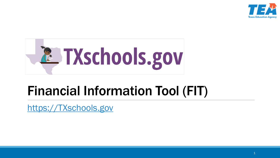



## Financial Information Tool (FIT)

https://TXschools.gov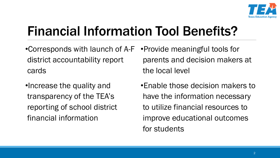

# Financial Information Tool Benefits?

•Corresponds with launch of A-F •Provide meaningful tools for district accountability report cards

•Increase the quality and transparency of the TEA's reporting of school district financial information

parents and decision makers at the local level

•Enable those decision makers to have the information necessary to utilize financial resources to improve educational outcomes for students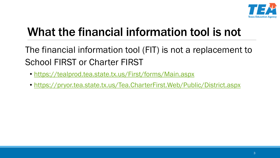

## What the financial information tool is not

The financial information tool (FIT) is not a replacement to School FIRST or Charter FIRST

- <https://tealprod.tea.state.tx.us/First/forms/Main.aspx>
- <https://pryor.tea.state.tx.us/Tea.CharterFirst.Web/Public/District.aspx>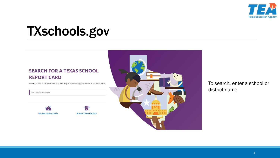

# TXschools.gov

#### **SEARCH FOR A TEXAS SCHOOL REPORT CARD**

Select a school or district to see how well they are performing overall and in different areas.

Enter a school or district name





To search, enter a school or district name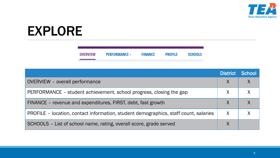

# EXPLORE

| <b>OVERVIEW</b> | <b>PERFORMANCE -</b> | <b>FINANCE</b> | <b>PROFILE</b> | <b>SCHOOLS</b> |
|-----------------|----------------------|----------------|----------------|----------------|
|                 |                      |                |                |                |

|                                                                                      | <b>District</b> | School |
|--------------------------------------------------------------------------------------|-----------------|--------|
| <b>OVERVIEW</b> – overall performance                                                |                 |        |
| PERFORMANCE – student achievement, school progress, closing the gap                  |                 |        |
| FINANCE - revenue and expenditures, FIRST, debt, fast growth                         |                 |        |
| PROFILE – location, contact information, student demographics, staff count, salaries |                 |        |
| SCHOOLS - List of school name, rating, overall score, grade served                   |                 |        |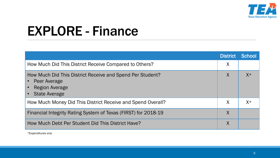

|                                                                                                                            | <b>District</b> | <b>School</b> |
|----------------------------------------------------------------------------------------------------------------------------|-----------------|---------------|
| How Much Did This District Receive Compared to Others?                                                                     | $\sf X$         |               |
| How Much Did This District Receive and Spend Per Student?<br>Peer Average<br><b>Region Average</b><br><b>State Average</b> |                 | $X^*$         |
| How Much Money Did This District Receive and Spend Overall?                                                                |                 | $X^*$         |
| Financial Integrity Rating System of Texas (FIRST) for 2018-19                                                             |                 |               |
| How Much Debt Per Student Did This District Have?                                                                          |                 |               |

\*Expenditures only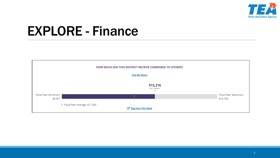

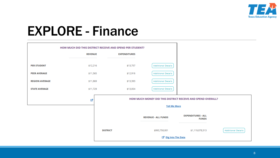

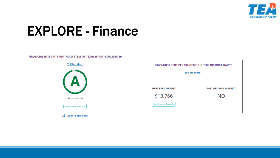



| <b>HOW MUCH DEBT PER STUDENT DID THIS DISTRICT HAVE?</b> |                             |  |  |  |
|----------------------------------------------------------|-----------------------------|--|--|--|
| <b>Tell Me More</b>                                      |                             |  |  |  |
|                                                          |                             |  |  |  |
| <b>DEBT PER STUDENT</b>                                  | <b>FAST GROWTH DISTRICT</b> |  |  |  |
| \$13,766                                                 | NΟ                          |  |  |  |
| <b>Additional Details</b>                                |                             |  |  |  |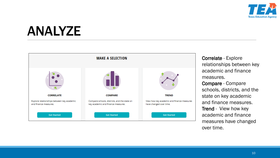

## ANALYZE



Correlate - Explore relationships between key academic and finance measures.

Compare - Compare schools, districts, and the state on key academic and finance measures. Trend - View how key academic and finance measures have changed over time.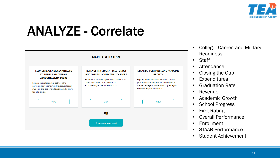

## ANALYZE - Correlate



• Student Achievement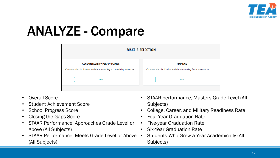

# ANALYZE - Compare

| <b>MAKE A SELECTION</b>                                                                                        |                                                                                      |  |  |  |
|----------------------------------------------------------------------------------------------------------------|--------------------------------------------------------------------------------------|--|--|--|
| <b>ACCOUNTABILITY PERFORMANCE</b><br>Compare schools, districts, and the state on key accountability measures. | <b>FINANCE</b><br>Compare schools, districts, and the state on key finance measures. |  |  |  |
| View                                                                                                           | <b>View</b>                                                                          |  |  |  |

- Overall Score
- Student Achievement Score
- School Progress Score
- Closing the Gaps Score
- STAAR Performance, Approaches Grade Level or Above (All Subjects)
- STAAR Performance, Meets Grade Level or Above (All Subjects)
- STAAR performance, Masters Grade Level (All Subjects)
- College, Career, and Military Readiness Rate
- Four-Year Graduation Rate
- Five-year Graduation Rate
- Six-Year Graduation Rate
- Students Who Grew a Year Academically (All Subjects)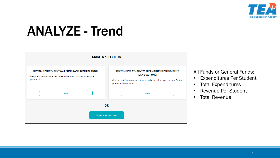

## ANALYZE - Trend



All Funds or General Funds:

- Expenditures Per Student
- Total Expenditures
- Revenue Per Student
- Total Revenue